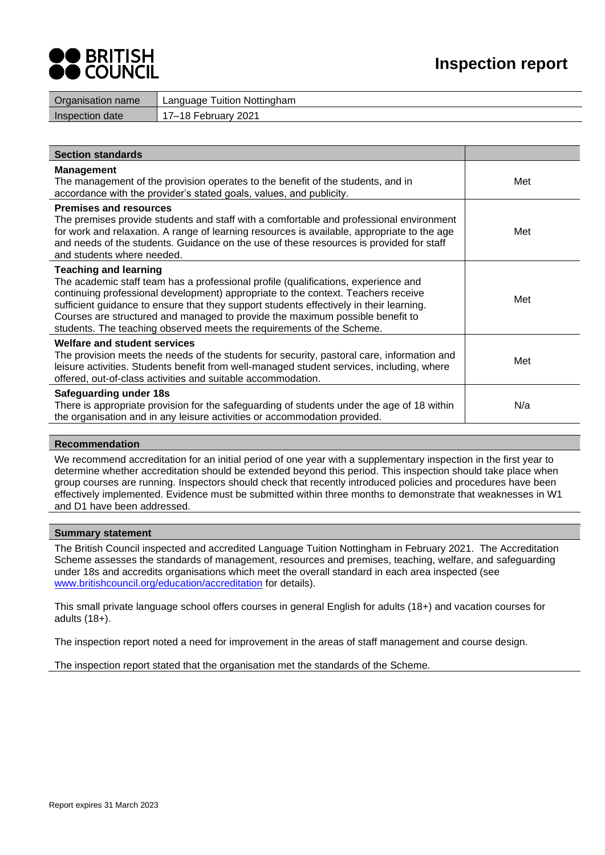



| Organisation name | Language Tuition Nottingham |
|-------------------|-----------------------------|
| Inspection date   | 17–18 February 2021         |
|                   |                             |

| <b>Section standards</b>                                                                                                                                                                                                                                                                                                                                                                                                                                     |     |
|--------------------------------------------------------------------------------------------------------------------------------------------------------------------------------------------------------------------------------------------------------------------------------------------------------------------------------------------------------------------------------------------------------------------------------------------------------------|-----|
| <b>Management</b><br>The management of the provision operates to the benefit of the students, and in<br>accordance with the provider's stated goals, values, and publicity.                                                                                                                                                                                                                                                                                  | Met |
| <b>Premises and resources</b><br>The premises provide students and staff with a comfortable and professional environment<br>for work and relaxation. A range of learning resources is available, appropriate to the age<br>and needs of the students. Guidance on the use of these resources is provided for staff<br>and students where needed.                                                                                                             | Met |
| <b>Teaching and learning</b><br>The academic staff team has a professional profile (qualifications, experience and<br>continuing professional development) appropriate to the context. Teachers receive<br>sufficient guidance to ensure that they support students effectively in their learning.<br>Courses are structured and managed to provide the maximum possible benefit to<br>students. The teaching observed meets the requirements of the Scheme. | Met |
| <b>Welfare and student services</b><br>The provision meets the needs of the students for security, pastoral care, information and<br>leisure activities. Students benefit from well-managed student services, including, where<br>offered, out-of-class activities and suitable accommodation.                                                                                                                                                               | Met |
| Safeguarding under 18s<br>There is appropriate provision for the safeguarding of students under the age of 18 within<br>the organisation and in any leisure activities or accommodation provided.                                                                                                                                                                                                                                                            | N/a |

## **Recommendation**

We recommend accreditation for an initial period of one year with a supplementary inspection in the first year to determine whether accreditation should be extended beyond this period. This inspection should take place when group courses are running. Inspectors should check that recently introduced policies and procedures have been effectively implemented. Evidence must be submitted within three months to demonstrate that weaknesses in W1 and D1 have been addressed.

### **Summary statement**

The British Council inspected and accredited Language Tuition Nottingham in February 2021. The Accreditation Scheme assesses the standards of management, resources and premises, teaching, welfare, and safeguarding under 18s and accredits organisations which meet the overall standard in each area inspected (see [www.britishcouncil.org/education/accreditation](http://www.britishcouncil.org/education/accreditation) for details).

This small private language school offers courses in general English for adults (18+) and vacation courses for adults (18+).

The inspection report noted a need for improvement in the areas of staff management and course design.

The inspection report stated that the organisation met the standards of the Scheme.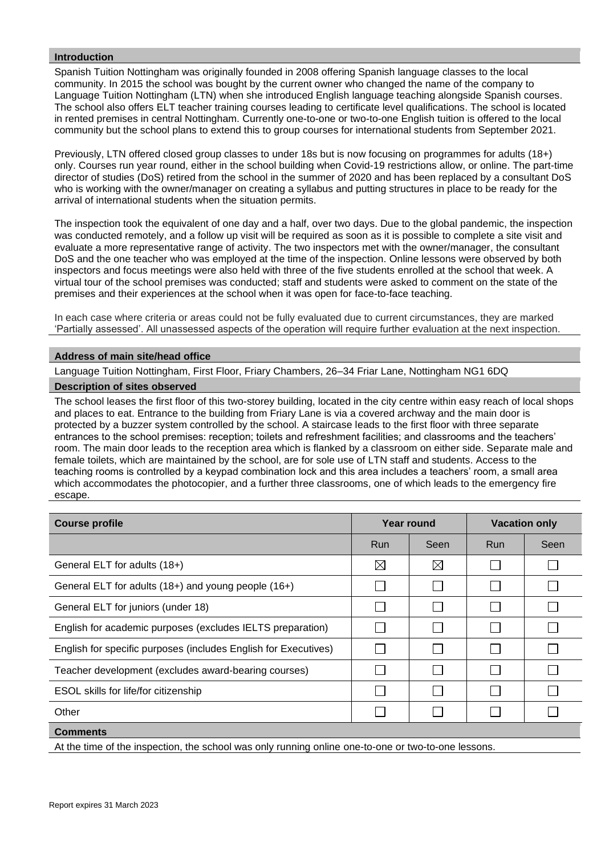# **Introduction**

Spanish Tuition Nottingham was originally founded in 2008 offering Spanish language classes to the local community. In 2015 the school was bought by the current owner who changed the name of the company to Language Tuition Nottingham (LTN) when she introduced English language teaching alongside Spanish courses. The school also offers ELT teacher training courses leading to certificate level qualifications. The school is located in rented premises in central Nottingham. Currently one-to-one or two-to-one English tuition is offered to the local community but the school plans to extend this to group courses for international students from September 2021.

Previously, LTN offered closed group classes to under 18s but is now focusing on programmes for adults (18+) only. Courses run year round, either in the school building when Covid-19 restrictions allow, or online. The part-time director of studies (DoS) retired from the school in the summer of 2020 and has been replaced by a consultant DoS who is working with the owner/manager on creating a syllabus and putting structures in place to be ready for the arrival of international students when the situation permits.

The inspection took the equivalent of one day and a half, over two days. Due to the global pandemic, the inspection was conducted remotely, and a follow up visit will be required as soon as it is possible to complete a site visit and evaluate a more representative range of activity. The two inspectors met with the owner/manager, the consultant DoS and the one teacher who was employed at the time of the inspection. Online lessons were observed by both inspectors and focus meetings were also held with three of the five students enrolled at the school that week. A virtual tour of the school premises was conducted; staff and students were asked to comment on the state of the premises and their experiences at the school when it was open for face-to-face teaching.

In each case where criteria or areas could not be fully evaluated due to current circumstances, they are marked 'Partially assessed'. All unassessed aspects of the operation will require further evaluation at the next inspection.

## **Address of main site/head office**

Language Tuition Nottingham, First Floor, Friary Chambers, 26–34 Friar Lane, Nottingham NG1 6DQ

## **Description of sites observed**

The school leases the first floor of this two-storey building, located in the city centre within easy reach of local shops and places to eat. Entrance to the building from Friary Lane is via a covered archway and the main door is protected by a buzzer system controlled by the school. A staircase leads to the first floor with three separate entrances to the school premises: reception; toilets and refreshment facilities; and classrooms and the teachers' room. The main door leads to the reception area which is flanked by a classroom on either side. Separate male and female toilets, which are maintained by the school, are for sole use of LTN staff and students. Access to the teaching rooms is controlled by a keypad combination lock and this area includes a teachers' room, a small area which accommodates the photocopier, and a further three classrooms, one of which leads to the emergency fire escape.

| <b>Course profile</b>                                           | Year round  |             | <b>Vacation only</b> |      |
|-----------------------------------------------------------------|-------------|-------------|----------------------|------|
|                                                                 | <b>Run</b>  | Seen        | <b>Run</b>           | Seen |
| General ELT for adults (18+)                                    | $\boxtimes$ | $\boxtimes$ |                      |      |
| General ELT for adults (18+) and young people (16+)             |             |             | L                    |      |
| General ELT for juniors (under 18)                              |             |             |                      |      |
| English for academic purposes (excludes IELTS preparation)      |             |             |                      |      |
| English for specific purposes (includes English for Executives) |             |             |                      |      |
| Teacher development (excludes award-bearing courses)            |             |             |                      |      |
| ESOL skills for life/for citizenship                            |             |             |                      |      |
| Other                                                           |             |             |                      |      |
| <b>Comments</b>                                                 |             |             |                      |      |

At the time of the inspection, the school was only running online one-to-one or two-to-one lessons.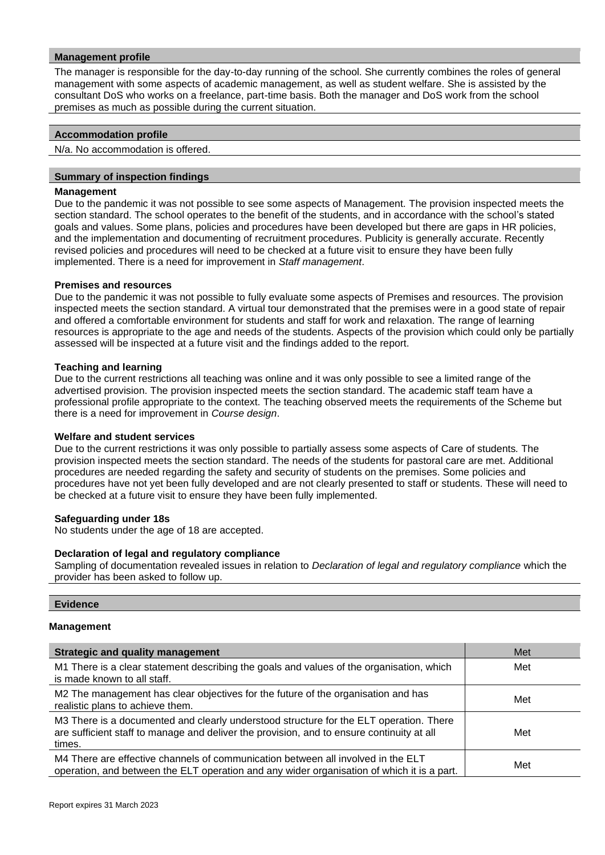## **Management profile**

The manager is responsible for the day-to-day running of the school. She currently combines the roles of general management with some aspects of academic management, as well as student welfare. She is assisted by the consultant DoS who works on a freelance, part-time basis. Both the manager and DoS work from the school premises as much as possible during the current situation.

## **Accommodation profile**

N/a. No accommodation is offered.

## **Summary of inspection findings**

### **Management**

Due to the pandemic it was not possible to see some aspects of Management. The provision inspected meets the section standard. The school operates to the benefit of the students, and in accordance with the school's stated goals and values. Some plans, policies and procedures have been developed but there are gaps in HR policies, and the implementation and documenting of recruitment procedures. Publicity is generally accurate. Recently revised policies and procedures will need to be checked at a future visit to ensure they have been fully implemented. There is a need for improvement in *Staff management*.

## **Premises and resources**

Due to the pandemic it was not possible to fully evaluate some aspects of Premises and resources. The provision inspected meets the section standard. A virtual tour demonstrated that the premises were in a good state of repair and offered a comfortable environment for students and staff for work and relaxation. The range of learning resources is appropriate to the age and needs of the students. Aspects of the provision which could only be partially assessed will be inspected at a future visit and the findings added to the report.

## **Teaching and learning**

Due to the current restrictions all teaching was online and it was only possible to see a limited range of the advertised provision. The provision inspected meets the section standard. The academic staff team have a professional profile appropriate to the context. The teaching observed meets the requirements of the Scheme but there is a need for improvement in *Course design*.

## **Welfare and student services**

Due to the current restrictions it was only possible to partially assess some aspects of Care of students*.* The provision inspected meets the section standard. The needs of the students for pastoral care are met. Additional procedures are needed regarding the safety and security of students on the premises. Some policies and procedures have not yet been fully developed and are not clearly presented to staff or students. These will need to be checked at a future visit to ensure they have been fully implemented.

### **Safeguarding under 18s**

No students under the age of 18 are accepted.

### **Declaration of legal and regulatory compliance**

Sampling of documentation revealed issues in relation to *Declaration of legal and regulatory compliance* which the provider has been asked to follow up.

## **Evidence**

# **Management**

| <b>Strategic and quality management</b>                                                                                                                                                       | Met |
|-----------------------------------------------------------------------------------------------------------------------------------------------------------------------------------------------|-----|
| M1 There is a clear statement describing the goals and values of the organisation, which<br>is made known to all staff.                                                                       | Met |
| M2 The management has clear objectives for the future of the organisation and has<br>realistic plans to achieve them.                                                                         | Met |
| M3 There is a documented and clearly understood structure for the ELT operation. There<br>are sufficient staff to manage and deliver the provision, and to ensure continuity at all<br>times. | Met |
| M4 There are effective channels of communication between all involved in the ELT<br>operation, and between the ELT operation and any wider organisation of which it is a part.                | Met |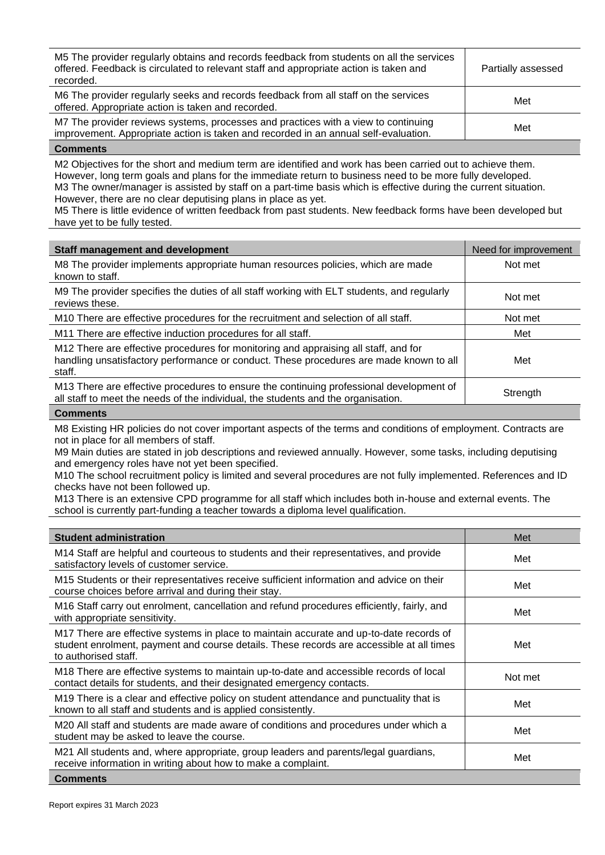| M5 The provider regularly obtains and records feedback from students on all the services<br>offered. Feedback is circulated to relevant staff and appropriate action is taken and<br>recorded. | Partially assessed |
|------------------------------------------------------------------------------------------------------------------------------------------------------------------------------------------------|--------------------|
| M6 The provider regularly seeks and records feedback from all staff on the services<br>offered. Appropriate action is taken and recorded.                                                      | Met                |
| M7 The provider reviews systems, processes and practices with a view to continuing<br>improvement. Appropriate action is taken and recorded in an annual self-evaluation.                      | Met                |

M2 Objectives for the short and medium term are identified and work has been carried out to achieve them. However, long term goals and plans for the immediate return to business need to be more fully developed. M3 The owner/manager is assisted by staff on a part-time basis which is effective during the current situation. However, there are no clear deputising plans in place as yet.

M5 There is little evidence of written feedback from past students. New feedback forms have been developed but have yet to be fully tested.

| <b>Staff management and development</b>                                                                                                                                                 | Need for improvement |
|-----------------------------------------------------------------------------------------------------------------------------------------------------------------------------------------|----------------------|
| M8 The provider implements appropriate human resources policies, which are made<br>known to staff.                                                                                      | Not met              |
| M9 The provider specifies the duties of all staff working with ELT students, and regularly<br>reviews these.                                                                            | Not met              |
| M10 There are effective procedures for the recruitment and selection of all staff.                                                                                                      | Not met              |
| M11 There are effective induction procedures for all staff.                                                                                                                             | Met                  |
| M12 There are effective procedures for monitoring and appraising all staff, and for<br>handling unsatisfactory performance or conduct. These procedures are made known to all<br>staff. | Met                  |
| M13 There are effective procedures to ensure the continuing professional development of<br>all staff to meet the needs of the individual, the students and the organisation.            | Strength             |

## **Comments**

M8 Existing HR policies do not cover important aspects of the terms and conditions of employment. Contracts are not in place for all members of staff.

M9 Main duties are stated in job descriptions and reviewed annually. However, some tasks, including deputising and emergency roles have not yet been specified.

M10 The school recruitment policy is limited and several procedures are not fully implemented. References and ID checks have not been followed up.

M13 There is an extensive CPD programme for all staff which includes both in-house and external events. The school is currently part-funding a teacher towards a diploma level qualification.

| <b>Student administration</b>                                                                                                                                                                               | Met     |
|-------------------------------------------------------------------------------------------------------------------------------------------------------------------------------------------------------------|---------|
| M14 Staff are helpful and courteous to students and their representatives, and provide<br>satisfactory levels of customer service.                                                                          | Met     |
| M15 Students or their representatives receive sufficient information and advice on their<br>course choices before arrival and during their stay.                                                            | Met     |
| M16 Staff carry out enrolment, cancellation and refund procedures efficiently, fairly, and<br>with appropriate sensitivity.                                                                                 | Met     |
| M17 There are effective systems in place to maintain accurate and up-to-date records of<br>student enrolment, payment and course details. These records are accessible at all times<br>to authorised staff. | Met     |
| M18 There are effective systems to maintain up-to-date and accessible records of local<br>contact details for students, and their designated emergency contacts.                                            | Not met |
| M19 There is a clear and effective policy on student attendance and punctuality that is<br>known to all staff and students and is applied consistently.                                                     | Met     |
| M20 All staff and students are made aware of conditions and procedures under which a<br>student may be asked to leave the course.                                                                           | Met     |
| M21 All students and, where appropriate, group leaders and parents/legal guardians,<br>receive information in writing about how to make a complaint.                                                        | Met     |
| <b>Comments</b>                                                                                                                                                                                             |         |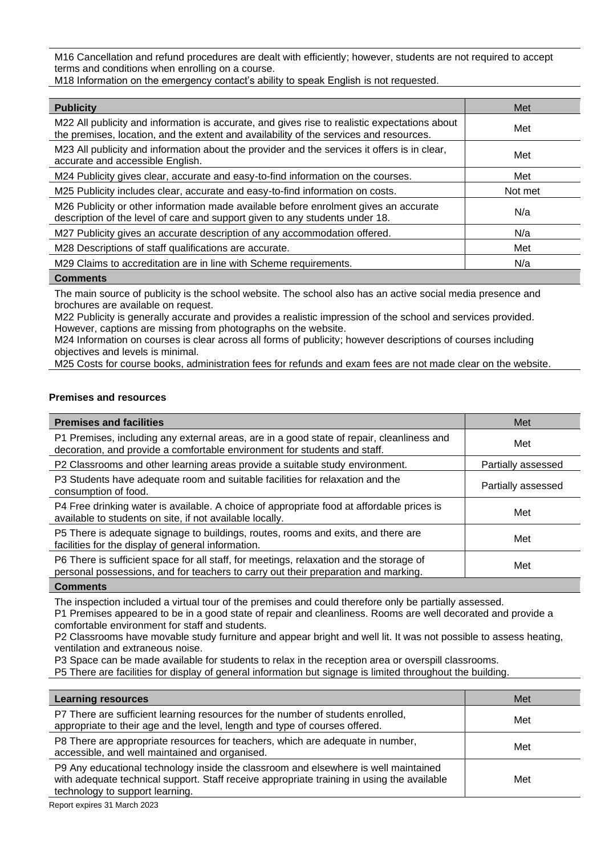M16 Cancellation and refund procedures are dealt with efficiently; however, students are not required to accept terms and conditions when enrolling on a course.

M18 Information on the emergency contact's ability to speak English is not requested.

| <b>Publicity</b>                                                                                                                                                                        | Met     |
|-----------------------------------------------------------------------------------------------------------------------------------------------------------------------------------------|---------|
| M22 All publicity and information is accurate, and gives rise to realistic expectations about<br>the premises, location, and the extent and availability of the services and resources. | Met     |
| M23 All publicity and information about the provider and the services it offers is in clear,<br>accurate and accessible English.                                                        | Met     |
| M24 Publicity gives clear, accurate and easy-to-find information on the courses.                                                                                                        | Met     |
| M25 Publicity includes clear, accurate and easy-to-find information on costs.                                                                                                           | Not met |
| M26 Publicity or other information made available before enrolment gives an accurate<br>description of the level of care and support given to any students under 18.                    | N/a     |
| M27 Publicity gives an accurate description of any accommodation offered.                                                                                                               | N/a     |
| M28 Descriptions of staff qualifications are accurate.                                                                                                                                  | Met     |
| M29 Claims to accreditation are in line with Scheme requirements.                                                                                                                       | N/a     |
|                                                                                                                                                                                         |         |

## **Comments**

The main source of publicity is the school website. The school also has an active social media presence and brochures are available on request.

M22 Publicity is generally accurate and provides a realistic impression of the school and services provided. However, captions are missing from photographs on the website.

M24 Information on courses is clear across all forms of publicity; however descriptions of courses including objectives and levels is minimal.

M25 Costs for course books, administration fees for refunds and exam fees are not made clear on the website.

# **Premises and resources**

| <b>Premises and facilities</b>                                                                                                                                                | Met                |
|-------------------------------------------------------------------------------------------------------------------------------------------------------------------------------|--------------------|
| P1 Premises, including any external areas, are in a good state of repair, cleanliness and<br>decoration, and provide a comfortable environment for students and staff.        | Met                |
| P2 Classrooms and other learning areas provide a suitable study environment.                                                                                                  | Partially assessed |
| P3 Students have adequate room and suitable facilities for relaxation and the<br>consumption of food.                                                                         | Partially assessed |
| P4 Free drinking water is available. A choice of appropriate food at affordable prices is<br>available to students on site, if not available locally.                         | Met                |
| P5 There is adequate signage to buildings, routes, rooms and exits, and there are<br>facilities for the display of general information.                                       | Met                |
| P6 There is sufficient space for all staff, for meetings, relaxation and the storage of<br>personal possessions, and for teachers to carry out their preparation and marking. | Met                |

**Comments**

The inspection included a virtual tour of the premises and could therefore only be partially assessed.

P1 Premises appeared to be in a good state of repair and cleanliness. Rooms are well decorated and provide a comfortable environment for staff and students.

P2 Classrooms have movable study furniture and appear bright and well lit. It was not possible to assess heating, ventilation and extraneous noise.

P3 Space can be made available for students to relax in the reception area or overspill classrooms.

P5 There are facilities for display of general information but signage is limited throughout the building.

| <b>Learning resources</b>                                                                                                                                                                                            | Met |
|----------------------------------------------------------------------------------------------------------------------------------------------------------------------------------------------------------------------|-----|
| P7 There are sufficient learning resources for the number of students enrolled,<br>appropriate to their age and the level, length and type of courses offered.                                                       | Met |
| P8 There are appropriate resources for teachers, which are adequate in number,<br>accessible, and well maintained and organised.                                                                                     | Met |
| P9 Any educational technology inside the classroom and elsewhere is well maintained<br>with adequate technical support. Staff receive appropriate training in using the available<br>technology to support learning. | Met |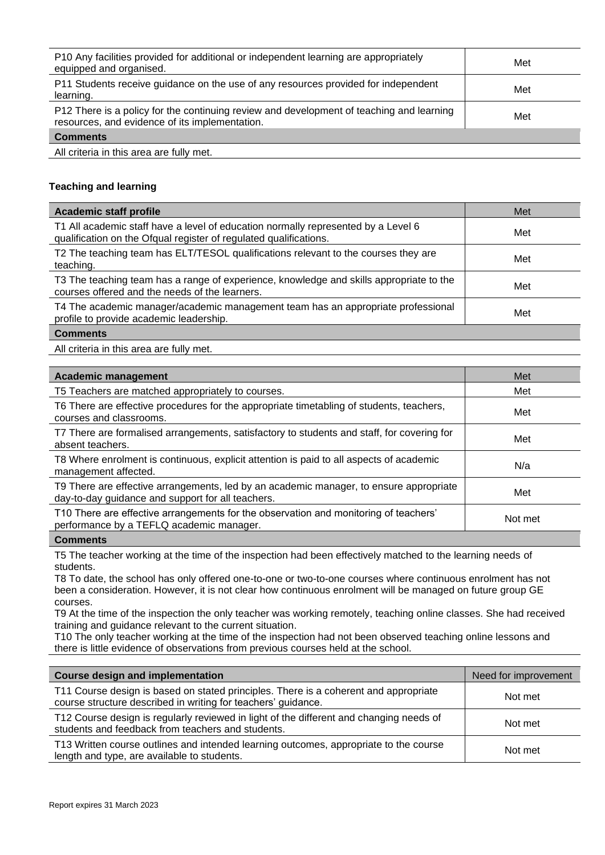| P10 Any facilities provided for additional or independent learning are appropriately<br>equipped and organised.                            | Met |
|--------------------------------------------------------------------------------------------------------------------------------------------|-----|
| P11 Students receive guidance on the use of any resources provided for independent<br>learning.                                            | Met |
| P12 There is a policy for the continuing review and development of teaching and learning<br>resources, and evidence of its implementation. | Met |
| <b>Comments</b>                                                                                                                            |     |

All criteria in this area are fully met.

# **Teaching and learning**

| <b>Academic staff profile</b>                                                                                                                          | Met |
|--------------------------------------------------------------------------------------------------------------------------------------------------------|-----|
| T1 All academic staff have a level of education normally represented by a Level 6<br>qualification on the Ofqual register of regulated qualifications. | Met |
| T2 The teaching team has ELT/TESOL qualifications relevant to the courses they are<br>teaching.                                                        | Met |
| T3 The teaching team has a range of experience, knowledge and skills appropriate to the<br>courses offered and the needs of the learners.              | Met |
| T4 The academic manager/academic management team has an appropriate professional<br>profile to provide academic leadership.                            | Met |
| <b>Comments</b>                                                                                                                                        |     |

All criteria in this area are fully met.

| <b>Academic management</b>                                                                                                                  | Met     |
|---------------------------------------------------------------------------------------------------------------------------------------------|---------|
| T5 Teachers are matched appropriately to courses.                                                                                           | Met     |
| T6 There are effective procedures for the appropriate timetabling of students, teachers,<br>courses and classrooms.                         | Met     |
| T7 There are formalised arrangements, satisfactory to students and staff, for covering for<br>absent teachers.                              | Met     |
| T8 Where enrolment is continuous, explicit attention is paid to all aspects of academic<br>management affected.                             | N/a     |
| T9 There are effective arrangements, led by an academic manager, to ensure appropriate<br>day-to-day guidance and support for all teachers. | Met     |
| T10 There are effective arrangements for the observation and monitoring of teachers'<br>performance by a TEFLQ academic manager.            | Not met |
|                                                                                                                                             |         |

## **Comments**

T5 The teacher working at the time of the inspection had been effectively matched to the learning needs of students.

T8 To date, the school has only offered one-to-one or two-to-one courses where continuous enrolment has not been a consideration. However, it is not clear how continuous enrolment will be managed on future group GE courses.

T9 At the time of the inspection the only teacher was working remotely, teaching online classes. She had received training and guidance relevant to the current situation.

T10 The only teacher working at the time of the inspection had not been observed teaching online lessons and there is little evidence of observations from previous courses held at the school.

| <b>Course design and implementation</b>                                                                                                               | Need for improvement |
|-------------------------------------------------------------------------------------------------------------------------------------------------------|----------------------|
| T11 Course design is based on stated principles. There is a coherent and appropriate<br>course structure described in writing for teachers' guidance. | Not met              |
| T12 Course design is regularly reviewed in light of the different and changing needs of<br>students and feedback from teachers and students.          | Not met              |
| T13 Written course outlines and intended learning outcomes, appropriate to the course<br>length and type, are available to students.                  | Not met              |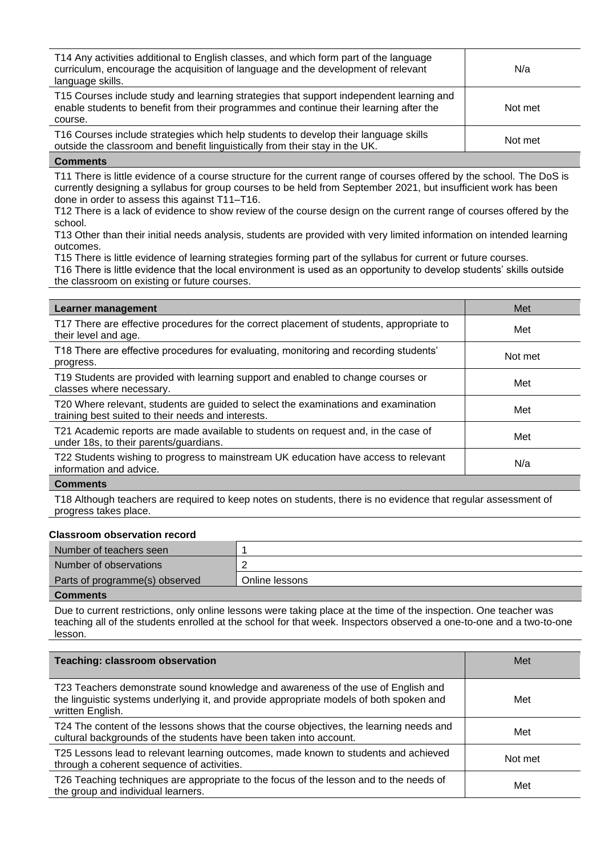| T14 Any activities additional to English classes, and which form part of the language<br>curriculum, encourage the acquisition of language and the development of relevant<br>language skills. | N/a     |
|------------------------------------------------------------------------------------------------------------------------------------------------------------------------------------------------|---------|
| T15 Courses include study and learning strategies that support independent learning and<br>enable students to benefit from their programmes and continue their learning after the<br>course.   | Not met |
| T16 Courses include strategies which help students to develop their language skills<br>outside the classroom and benefit linguistically from their stay in the UK.                             | Not met |

T11 There is little evidence of a course structure for the current range of courses offered by the school. The DoS is currently designing a syllabus for group courses to be held from September 2021, but insufficient work has been done in order to assess this against T11–T16.

T12 There is a lack of evidence to show review of the course design on the current range of courses offered by the school.

T13 Other than their initial needs analysis, students are provided with very limited information on intended learning outcomes.

T15 There is little evidence of learning strategies forming part of the syllabus for current or future courses.

T16 There is little evidence that the local environment is used as an opportunity to develop students' skills outside the classroom on existing or future courses.

| Learner management                                                                                                                       | Met     |
|------------------------------------------------------------------------------------------------------------------------------------------|---------|
| T17 There are effective procedures for the correct placement of students, appropriate to<br>their level and age.                         | Met     |
| T18 There are effective procedures for evaluating, monitoring and recording students'<br>progress.                                       | Not met |
| T19 Students are provided with learning support and enabled to change courses or<br>classes where necessary.                             | Met     |
| T20 Where relevant, students are guided to select the examinations and examination<br>training best suited to their needs and interests. | Met     |
| T21 Academic reports are made available to students on request and, in the case of<br>under 18s, to their parents/guardians.             | Met     |
| T22 Students wishing to progress to mainstream UK education have access to relevant<br>information and advice.                           | N/a     |
|                                                                                                                                          |         |

## **Comments**

T18 Although teachers are required to keep notes on students, there is no evidence that regular assessment of progress takes place.

### **Classroom observation record**

| Number of teachers seen        |                |
|--------------------------------|----------------|
| Number of observations         |                |
| Parts of programme(s) observed | Online lessons |
| <b>Comments</b>                |                |

Due to current restrictions, only online lessons were taking place at the time of the inspection. One teacher was teaching all of the students enrolled at the school for that week. Inspectors observed a one-to-one and a two-to-one lesson.

| <b>Teaching: classroom observation</b>                                                                                                                                                          | Met     |
|-------------------------------------------------------------------------------------------------------------------------------------------------------------------------------------------------|---------|
| T23 Teachers demonstrate sound knowledge and awareness of the use of English and<br>the linguistic systems underlying it, and provide appropriate models of both spoken and<br>written English. | Met     |
| T24 The content of the lessons shows that the course objectives, the learning needs and<br>cultural backgrounds of the students have been taken into account.                                   | Met     |
| T25 Lessons lead to relevant learning outcomes, made known to students and achieved<br>through a coherent sequence of activities.                                                               | Not met |
| T26 Teaching techniques are appropriate to the focus of the lesson and to the needs of<br>the group and individual learners.                                                                    | Met     |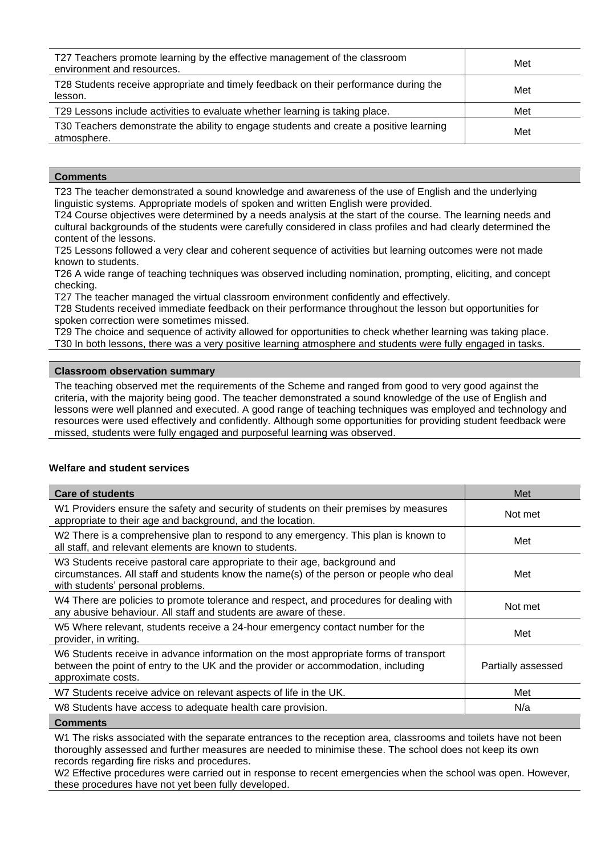| T27 Teachers promote learning by the effective management of the classroom<br>environment and resources. | Met |
|----------------------------------------------------------------------------------------------------------|-----|
| T28 Students receive appropriate and timely feedback on their performance during the<br>lesson.          | Met |
| T29 Lessons include activities to evaluate whether learning is taking place.                             | Met |
| T30 Teachers demonstrate the ability to engage students and create a positive learning<br>atmosphere.    | Met |

T23 The teacher demonstrated a sound knowledge and awareness of the use of English and the underlying linguistic systems. Appropriate models of spoken and written English were provided.

T24 Course objectives were determined by a needs analysis at the start of the course. The learning needs and cultural backgrounds of the students were carefully considered in class profiles and had clearly determined the content of the lessons.

T25 Lessons followed a very clear and coherent sequence of activities but learning outcomes were not made known to students.

T26 A wide range of teaching techniques was observed including nomination, prompting, eliciting, and concept checking.

T27 The teacher managed the virtual classroom environment confidently and effectively.

T28 Students received immediate feedback on their performance throughout the lesson but opportunities for spoken correction were sometimes missed.

T29 The choice and sequence of activity allowed for opportunities to check whether learning was taking place. T30 In both lessons, there was a very positive learning atmosphere and students were fully engaged in tasks.

## **Classroom observation summary**

The teaching observed met the requirements of the Scheme and ranged from good to very good against the criteria, with the majority being good. The teacher demonstrated a sound knowledge of the use of English and lessons were well planned and executed. A good range of teaching techniques was employed and technology and resources were used effectively and confidently. Although some opportunities for providing student feedback were missed, students were fully engaged and purposeful learning was observed.

## **Welfare and student services**

| <b>Care of students</b>                                                                                                                                                                                    | Met                |
|------------------------------------------------------------------------------------------------------------------------------------------------------------------------------------------------------------|--------------------|
| W1 Providers ensure the safety and security of students on their premises by measures<br>appropriate to their age and background, and the location.                                                        | Not met            |
| W2 There is a comprehensive plan to respond to any emergency. This plan is known to<br>all staff, and relevant elements are known to students.                                                             | Met                |
| W3 Students receive pastoral care appropriate to their age, background and<br>circumstances. All staff and students know the name(s) of the person or people who deal<br>with students' personal problems. | Met                |
| W4 There are policies to promote tolerance and respect, and procedures for dealing with<br>any abusive behaviour. All staff and students are aware of these.                                               | Not met            |
| W5 Where relevant, students receive a 24-hour emergency contact number for the<br>provider, in writing.                                                                                                    | Met                |
| W6 Students receive in advance information on the most appropriate forms of transport<br>between the point of entry to the UK and the provider or accommodation, including<br>approximate costs.           | Partially assessed |
| W7 Students receive advice on relevant aspects of life in the UK.                                                                                                                                          | Met                |
| W8 Students have access to adequate health care provision.                                                                                                                                                 | N/a                |
| $P = 1$                                                                                                                                                                                                    |                    |

**Comments**

W1 The risks associated with the separate entrances to the reception area, classrooms and toilets have not been thoroughly assessed and further measures are needed to minimise these. The school does not keep its own records regarding fire risks and procedures.

W2 Effective procedures were carried out in response to recent emergencies when the school was open. However, these procedures have not yet been fully developed.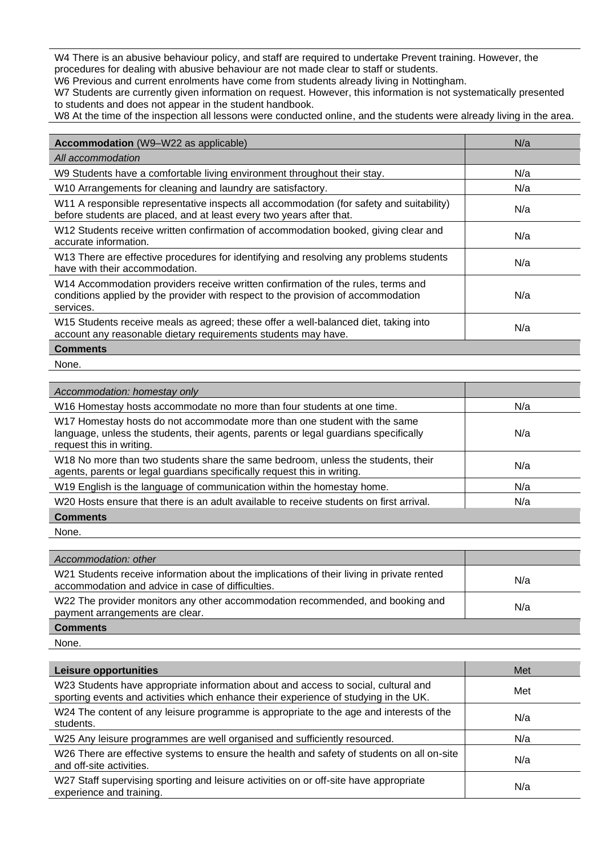W4 There is an abusive behaviour policy, and staff are required to undertake Prevent training. However, the procedures for dealing with abusive behaviour are not made clear to staff or students.

W6 Previous and current enrolments have come from students already living in Nottingham.

W7 Students are currently given information on request. However, this information is not systematically presented to students and does not appear in the student handbook.

W8 At the time of the inspection all lessons were conducted online, and the students were already living in the area.

| <b>Accommodation</b> (W9–W22 as applicable)                                                                                                                                        | N/a |
|------------------------------------------------------------------------------------------------------------------------------------------------------------------------------------|-----|
| All accommodation                                                                                                                                                                  |     |
| W9 Students have a comfortable living environment throughout their stay.                                                                                                           | N/a |
| W10 Arrangements for cleaning and laundry are satisfactory.                                                                                                                        | N/a |
| W11 A responsible representative inspects all accommodation (for safety and suitability)<br>before students are placed, and at least every two years after that.                   | N/a |
| W12 Students receive written confirmation of accommodation booked, giving clear and<br>accurate information.                                                                       | N/a |
| W13 There are effective procedures for identifying and resolving any problems students<br>have with their accommodation.                                                           | N/a |
| W14 Accommodation providers receive written confirmation of the rules, terms and<br>conditions applied by the provider with respect to the provision of accommodation<br>services. | N/a |
| W15 Students receive meals as agreed; these offer a well-balanced diet, taking into<br>account any reasonable dietary requirements students may have.                              | N/a |
| <b>Comments</b>                                                                                                                                                                    |     |

None.

| Accommodation: homestay only                                                                                                                                                                  |     |
|-----------------------------------------------------------------------------------------------------------------------------------------------------------------------------------------------|-----|
| W16 Homestay hosts accommodate no more than four students at one time.                                                                                                                        | N/a |
| W17 Homestay hosts do not accommodate more than one student with the same<br>language, unless the students, their agents, parents or legal guardians specifically<br>request this in writing. | N/a |
| W18 No more than two students share the same bedroom, unless the students, their<br>agents, parents or legal guardians specifically request this in writing.                                  | N/a |
| W19 English is the language of communication within the homestay home.                                                                                                                        | N/a |
| W <sub>20</sub> Hosts ensure that there is an adult available to receive students on first arrival.                                                                                           | N/a |
| <b>Comments</b>                                                                                                                                                                               |     |

None.

| Accommodation: other                                                                                                                           |     |
|------------------------------------------------------------------------------------------------------------------------------------------------|-----|
| W21 Students receive information about the implications of their living in private rented<br>accommodation and advice in case of difficulties. | N/a |
| W22 The provider monitors any other accommodation recommended, and booking and<br>payment arrangements are clear.                              | N/a |
| <b>Comments</b>                                                                                                                                |     |

None.

| Leisure opportunities                                                                                                                                                      | Met |
|----------------------------------------------------------------------------------------------------------------------------------------------------------------------------|-----|
| W23 Students have appropriate information about and access to social, cultural and<br>sporting events and activities which enhance their experience of studying in the UK. | Met |
| W24 The content of any leisure programme is appropriate to the age and interests of the<br>students.                                                                       | N/a |
| W25 Any leisure programmes are well organised and sufficiently resourced.                                                                                                  | N/a |
| W26 There are effective systems to ensure the health and safety of students on all on-site<br>and off-site activities.                                                     | N/a |
| W27 Staff supervising sporting and leisure activities on or off-site have appropriate<br>experience and training.                                                          | N/a |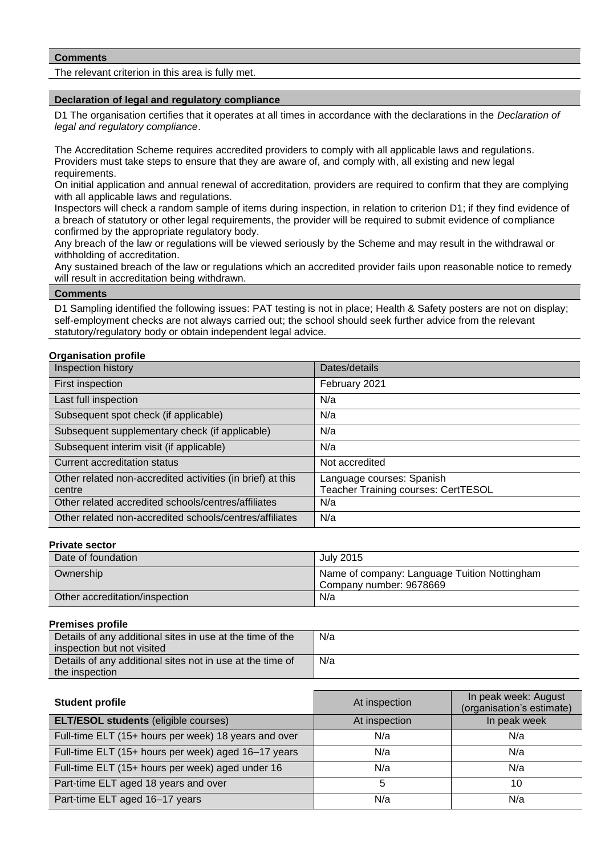The relevant criterion in this area is fully met.

### **Declaration of legal and regulatory compliance**

D1 The organisation certifies that it operates at all times in accordance with the declarations in the *Declaration of legal and regulatory compliance*.

The Accreditation Scheme requires accredited providers to comply with all applicable laws and regulations. Providers must take steps to ensure that they are aware of, and comply with, all existing and new legal requirements.

On initial application and annual renewal of accreditation, providers are required to confirm that they are complying with all applicable laws and regulations.

Inspectors will check a random sample of items during inspection, in relation to criterion D1; if they find evidence of a breach of statutory or other legal requirements, the provider will be required to submit evidence of compliance confirmed by the appropriate regulatory body.

Any breach of the law or regulations will be viewed seriously by the Scheme and may result in the withdrawal or withholding of accreditation.

Any sustained breach of the law or regulations which an accredited provider fails upon reasonable notice to remedy will result in accreditation being withdrawn.

## **Comments**

D1 Sampling identified the following issues: PAT testing is not in place; Health & Safety posters are not on display; self-employment checks are not always carried out; the school should seek further advice from the relevant statutory/regulatory body or obtain independent legal advice.

## **Organisation profile**

| Inspection history                                                   | Dates/details                                                           |
|----------------------------------------------------------------------|-------------------------------------------------------------------------|
| First inspection                                                     | February 2021                                                           |
| Last full inspection                                                 | N/a                                                                     |
| Subsequent spot check (if applicable)                                | N/a                                                                     |
| Subsequent supplementary check (if applicable)                       | N/a                                                                     |
| Subsequent interim visit (if applicable)                             | N/a                                                                     |
| Current accreditation status                                         | Not accredited                                                          |
| Other related non-accredited activities (in brief) at this<br>centre | Language courses: Spanish<br><b>Teacher Training courses: CertTESOL</b> |
| Other related accredited schools/centres/affiliates                  | N/a                                                                     |
| Other related non-accredited schools/centres/affiliates              | N/a                                                                     |

### **Private sector**

| Date of foundation             | July 2015                                                               |
|--------------------------------|-------------------------------------------------------------------------|
| Ownership                      | Name of company: Language Tuition Nottingham<br>Company number: 9678669 |
| Other accreditation/inspection | N/a                                                                     |

## **Premises profile**

| Details of any additional sites in use at the time of the | N/a |
|-----------------------------------------------------------|-----|
| inspection but not visited                                |     |
| Details of any additional sites not in use at the time of | N/a |
| the inspection                                            |     |

| <b>Student profile</b>                               | At inspection | In peak week: August<br>(organisation's estimate) |
|------------------------------------------------------|---------------|---------------------------------------------------|
| <b>ELT/ESOL students (eligible courses)</b>          | At inspection | In peak week                                      |
| Full-time ELT (15+ hours per week) 18 years and over | N/a           | N/a                                               |
| Full-time ELT (15+ hours per week) aged 16-17 years  | N/a           | N/a                                               |
| Full-time ELT (15+ hours per week) aged under 16     | N/a           | N/a                                               |
| Part-time ELT aged 18 years and over                 | 5             | 10                                                |
| Part-time ELT aged 16-17 years                       | N/a           | N/a                                               |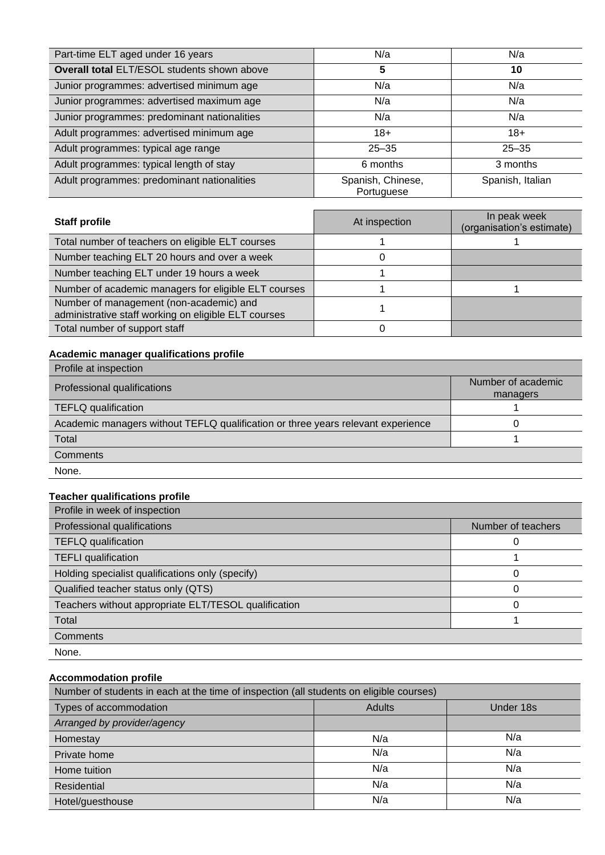| Part-time ELT aged under 16 years            | N/a                             | N/a              |
|----------------------------------------------|---------------------------------|------------------|
| Overall total ELT/ESOL students shown above  | 5                               | 10               |
| Junior programmes: advertised minimum age    | N/a                             | N/a              |
| Junior programmes: advertised maximum age    | N/a                             | N/a              |
| Junior programmes: predominant nationalities | N/a                             | N/a              |
| Adult programmes: advertised minimum age     | $18+$                           | $18+$            |
| Adult programmes: typical age range          | $25 - 35$                       | $25 - 35$        |
| Adult programmes: typical length of stay     | 6 months                        | 3 months         |
| Adult programmes: predominant nationalities  | Spanish, Chinese,<br>Portuguese | Spanish, Italian |

| <b>Staff profile</b>                                                                            | At inspection | In peak week<br>(organisation's estimate) |
|-------------------------------------------------------------------------------------------------|---------------|-------------------------------------------|
| Total number of teachers on eligible ELT courses                                                |               |                                           |
| Number teaching ELT 20 hours and over a week                                                    |               |                                           |
| Number teaching ELT under 19 hours a week                                                       |               |                                           |
| Number of academic managers for eligible ELT courses                                            |               |                                           |
| Number of management (non-academic) and<br>administrative staff working on eligible ELT courses |               |                                           |
| Total number of support staff                                                                   |               |                                           |

# **Academic manager qualifications profile**

| Profile at inspection                                                            |                                |
|----------------------------------------------------------------------------------|--------------------------------|
| Professional qualifications                                                      | Number of academic<br>managers |
| <b>TEFLQ</b> qualification                                                       |                                |
| Academic managers without TEFLQ qualification or three years relevant experience |                                |
| Total                                                                            |                                |
| Comments                                                                         |                                |
| None.                                                                            |                                |

# **Teacher qualifications profile**

| Profile in week of inspection                        |                    |
|------------------------------------------------------|--------------------|
| Professional qualifications                          | Number of teachers |
| <b>TEFLQ</b> qualification                           |                    |
| <b>TEFLI</b> qualification                           |                    |
| Holding specialist qualifications only (specify)     | 0                  |
| Qualified teacher status only (QTS)                  | 0                  |
| Teachers without appropriate ELT/TESOL qualification | 0                  |
| Total                                                |                    |
| Comments                                             |                    |
| None.                                                |                    |

# **Accommodation profile**

| Number of students in each at the time of inspection (all students on eligible courses) |               |           |
|-----------------------------------------------------------------------------------------|---------------|-----------|
| Types of accommodation                                                                  | <b>Adults</b> | Under 18s |
| Arranged by provider/agency                                                             |               |           |
| Homestay                                                                                | N/a           | N/a       |
| Private home                                                                            | N/a           | N/a       |
| Home tuition                                                                            | N/a           | N/a       |
| Residential                                                                             | N/a           | N/a       |
| Hotel/guesthouse                                                                        | N/a           | N/a       |